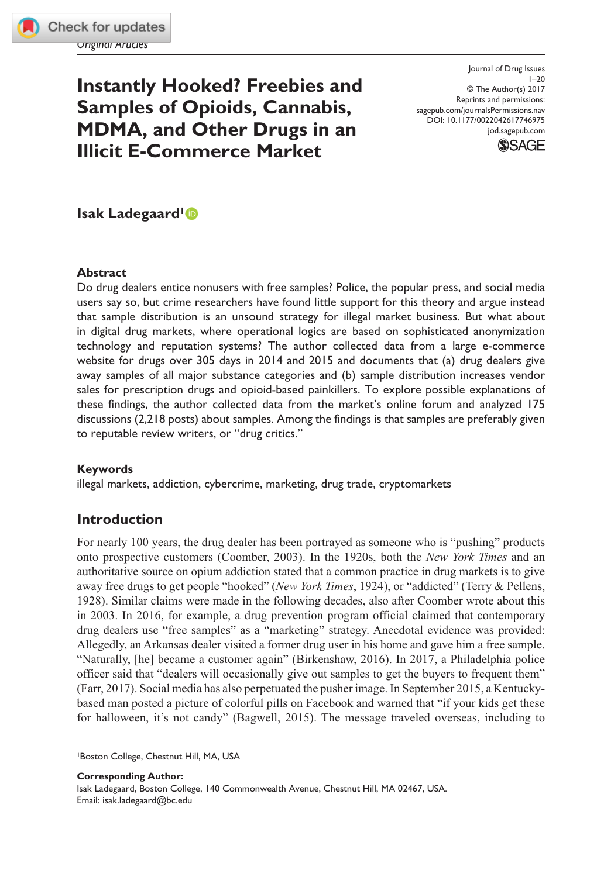# **Instantly Hooked? Freebies and Samples of Opioids, Cannabis, MDMA, and Other Drugs in an Illicit E-Commerce Market**

DOI: 10.1177/0022042617746975 Journal of Drug Issues 1–20 © The Author(s) 2017 Reprints and permissions: [sagepub.com/journalsPermissions.nav](https://us.sagepub.com/en-us/journals-permissions) [jod.sagepub.com](https://jod.sagepub.com
)



**Isak Ladegaard1**

# **Abstract**

Do drug dealers entice nonusers with free samples? Police, the popular press, and social media users say so, but crime researchers have found little support for this theory and argue instead that sample distribution is an unsound strategy for illegal market business. But what about in digital drug markets, where operational logics are based on sophisticated anonymization technology and reputation systems? The author collected data from a large e-commerce website for drugs over 305 days in 2014 and 2015 and documents that (a) drug dealers give away samples of all major substance categories and (b) sample distribution increases vendor sales for prescription drugs and opioid-based painkillers. To explore possible explanations of these findings, the author collected data from the market's online forum and analyzed 175 discussions (2,218 posts) about samples. Among the findings is that samples are preferably given to reputable review writers, or "drug critics."

### **Keywords**

illegal markets, addiction, cybercrime, marketing, drug trade, cryptomarkets

# **Introduction**

For nearly 100 years, the drug dealer has been portrayed as someone who is "pushing" products onto prospective customers (Coomber, 2003). In the 1920s, both the *New York Times* and an authoritative source on opium addiction stated that a common practice in drug markets is to give away free drugs to get people "hooked" (*New York Times*, 1924), or "addicted" (Terry & Pellens, 1928). Similar claims were made in the following decades, also after Coomber wrote about this in 2003. In 2016, for example, a drug prevention program official claimed that contemporary drug dealers use "free samples" as a "marketing" strategy. Anecdotal evidence was provided: Allegedly, an Arkansas dealer visited a former drug user in his home and gave him a free sample. "Naturally, [he] became a customer again" (Birkenshaw, 2016). In 2017, a Philadelphia police officer said that "dealers will occasionally give out samples to get the buyers to frequent them" (Farr, 2017). Social media has also perpetuated the pusher image. In September 2015, a Kentuckybased man posted a picture of colorful pills on Facebook and warned that "if your kids get these for halloween, it's not candy" (Bagwell, 2015). The message traveled overseas, including to

1Boston College, Chestnut Hill, MA, USA

**Corresponding Author:** Isak Ladegaard, Boston College, 140 Commonwealth Avenue, Chestnut Hill, MA 02467, USA. Email: [isak.ladegaard@bc.edu](mailto:isak.ladegaard@bc.edu)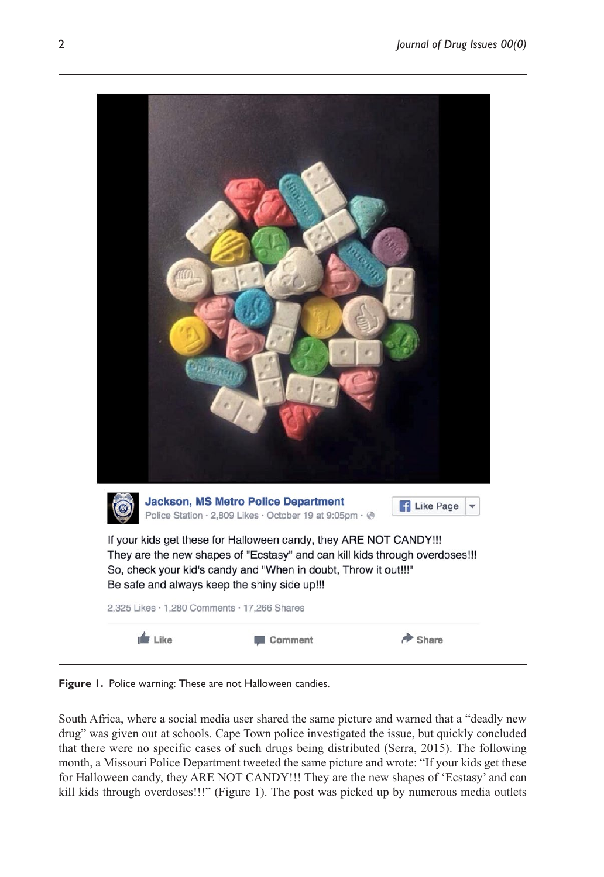

**Figure 1.** Police warning: These are not Halloween candies.

South Africa, where a social media user shared the same picture and warned that a "deadly new drug" was given out at schools. Cape Town police investigated the issue, but quickly concluded that there were no specific cases of such drugs being distributed (Serra, 2015). The following month, a Missouri Police Department tweeted the same picture and wrote: "If your kids get these for Halloween candy, they ARE NOT CANDY!!! They are the new shapes of 'Ecstasy' and can kill kids through overdoses!!!" (Figure 1). The post was picked up by numerous media outlets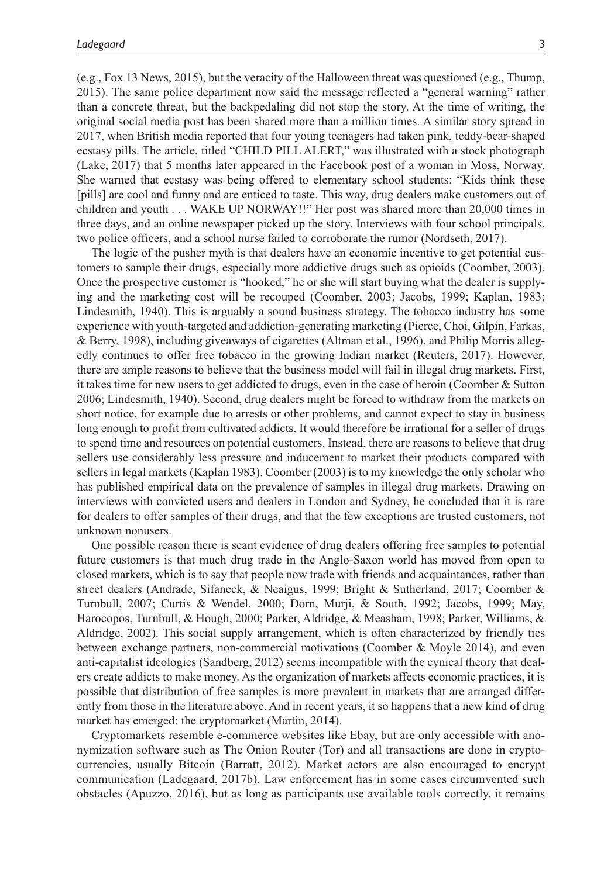(e.g., Fox 13 News, 2015), but the veracity of the Halloween threat was questioned (e.g., Thump, 2015). The same police department now said the message reflected a "general warning" rather than a concrete threat, but the backpedaling did not stop the story. At the time of writing, the original social media post has been shared more than a million times. A similar story spread in 2017, when British media reported that four young teenagers had taken pink, teddy-bear-shaped ecstasy pills. The article, titled "CHILD PILL ALERT," was illustrated with a stock photograph (Lake, 2017) that 5 months later appeared in the Facebook post of a woman in Moss, Norway. She warned that ecstasy was being offered to elementary school students: "Kids think these [pills] are cool and funny and are enticed to taste. This way, drug dealers make customers out of children and youth . . . WAKE UP NORWAY!!" Her post was shared more than 20,000 times in three days, and an online newspaper picked up the story. Interviews with four school principals, two police officers, and a school nurse failed to corroborate the rumor (Nordseth, 2017).

The logic of the pusher myth is that dealers have an economic incentive to get potential customers to sample their drugs, especially more addictive drugs such as opioids (Coomber, 2003). Once the prospective customer is "hooked," he or she will start buying what the dealer is supplying and the marketing cost will be recouped (Coomber, 2003; Jacobs, 1999; Kaplan, 1983; Lindesmith, 1940). This is arguably a sound business strategy. The tobacco industry has some experience with youth-targeted and addiction-generating marketing (Pierce, Choi, Gilpin, Farkas, & Berry, 1998), including giveaways of cigarettes (Altman et al., 1996), and Philip Morris allegedly continues to offer free tobacco in the growing Indian market (Reuters, 2017). However, there are ample reasons to believe that the business model will fail in illegal drug markets. First, it takes time for new users to get addicted to drugs, even in the case of heroin (Coomber & Sutton 2006; Lindesmith, 1940). Second, drug dealers might be forced to withdraw from the markets on short notice, for example due to arrests or other problems, and cannot expect to stay in business long enough to profit from cultivated addicts. It would therefore be irrational for a seller of drugs to spend time and resources on potential customers. Instead, there are reasons to believe that drug sellers use considerably less pressure and inducement to market their products compared with sellers in legal markets (Kaplan 1983). Coomber (2003) is to my knowledge the only scholar who has published empirical data on the prevalence of samples in illegal drug markets. Drawing on interviews with convicted users and dealers in London and Sydney, he concluded that it is rare for dealers to offer samples of their drugs, and that the few exceptions are trusted customers, not unknown nonusers.

One possible reason there is scant evidence of drug dealers offering free samples to potential future customers is that much drug trade in the Anglo-Saxon world has moved from open to closed markets, which is to say that people now trade with friends and acquaintances, rather than street dealers (Andrade, Sifaneck, & Neaigus, 1999; Bright & Sutherland, 2017; Coomber & Turnbull, 2007; Curtis & Wendel, 2000; Dorn, Murji, & South, 1992; Jacobs, 1999; May, Harocopos, Turnbull, & Hough, 2000; Parker, Aldridge, & Measham, 1998; Parker, Williams, & Aldridge, 2002). This social supply arrangement, which is often characterized by friendly ties between exchange partners, non-commercial motivations (Coomber & Moyle 2014), and even anti-capitalist ideologies (Sandberg, 2012) seems incompatible with the cynical theory that dealers create addicts to make money. As the organization of markets affects economic practices, it is possible that distribution of free samples is more prevalent in markets that are arranged differently from those in the literature above. And in recent years, it so happens that a new kind of drug market has emerged: the cryptomarket (Martin, 2014).

Cryptomarkets resemble e-commerce websites like Ebay, but are only accessible with anonymization software such as The Onion Router (Tor) and all transactions are done in cryptocurrencies, usually Bitcoin (Barratt, 2012). Market actors are also encouraged to encrypt communication (Ladegaard, 2017b). Law enforcement has in some cases circumvented such obstacles (Apuzzo, 2016), but as long as participants use available tools correctly, it remains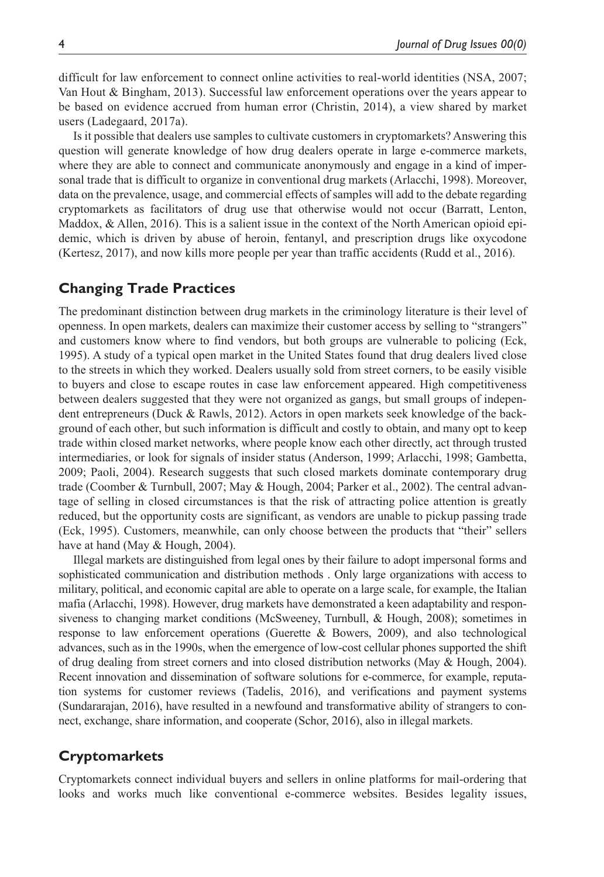difficult for law enforcement to connect online activities to real-world identities (NSA, 2007; Van Hout & Bingham, 2013). Successful law enforcement operations over the years appear to be based on evidence accrued from human error (Christin, 2014), a view shared by market users (Ladegaard, 2017a).

Is it possible that dealers use samples to cultivate customers in cryptomarkets? Answering this question will generate knowledge of how drug dealers operate in large e-commerce markets, where they are able to connect and communicate anonymously and engage in a kind of impersonal trade that is difficult to organize in conventional drug markets (Arlacchi, 1998). Moreover, data on the prevalence, usage, and commercial effects of samples will add to the debate regarding cryptomarkets as facilitators of drug use that otherwise would not occur (Barratt, Lenton, Maddox, & Allen, 2016). This is a salient issue in the context of the North American opioid epidemic, which is driven by abuse of heroin, fentanyl, and prescription drugs like oxycodone (Kertesz, 2017), and now kills more people per year than traffic accidents (Rudd et al., 2016).

# **Changing Trade Practices**

The predominant distinction between drug markets in the criminology literature is their level of openness. In open markets, dealers can maximize their customer access by selling to "strangers" and customers know where to find vendors, but both groups are vulnerable to policing (Eck, 1995). A study of a typical open market in the United States found that drug dealers lived close to the streets in which they worked. Dealers usually sold from street corners, to be easily visible to buyers and close to escape routes in case law enforcement appeared. High competitiveness between dealers suggested that they were not organized as gangs, but small groups of independent entrepreneurs (Duck & Rawls, 2012). Actors in open markets seek knowledge of the background of each other, but such information is difficult and costly to obtain, and many opt to keep trade within closed market networks, where people know each other directly, act through trusted intermediaries, or look for signals of insider status (Anderson, 1999; Arlacchi, 1998; Gambetta, 2009; Paoli, 2004). Research suggests that such closed markets dominate contemporary drug trade (Coomber & Turnbull, 2007; May & Hough, 2004; Parker et al., 2002). The central advantage of selling in closed circumstances is that the risk of attracting police attention is greatly reduced, but the opportunity costs are significant, as vendors are unable to pickup passing trade (Eck, 1995). Customers, meanwhile, can only choose between the products that "their" sellers have at hand (May & Hough, 2004).

Illegal markets are distinguished from legal ones by their failure to adopt impersonal forms and sophisticated communication and distribution methods . Only large organizations with access to military, political, and economic capital are able to operate on a large scale, for example, the Italian mafia (Arlacchi, 1998). However, drug markets have demonstrated a keen adaptability and responsiveness to changing market conditions (McSweeney, Turnbull, & Hough, 2008); sometimes in response to law enforcement operations (Guerette & Bowers, 2009), and also technological advances, such as in the 1990s, when the emergence of low-cost cellular phones supported the shift of drug dealing from street corners and into closed distribution networks (May & Hough, 2004). Recent innovation and dissemination of software solutions for e-commerce, for example, reputation systems for customer reviews (Tadelis, 2016), and verifications and payment systems (Sundararajan, 2016), have resulted in a newfound and transformative ability of strangers to connect, exchange, share information, and cooperate (Schor, 2016), also in illegal markets.

# **Cryptomarkets**

Cryptomarkets connect individual buyers and sellers in online platforms for mail-ordering that looks and works much like conventional e-commerce websites. Besides legality issues,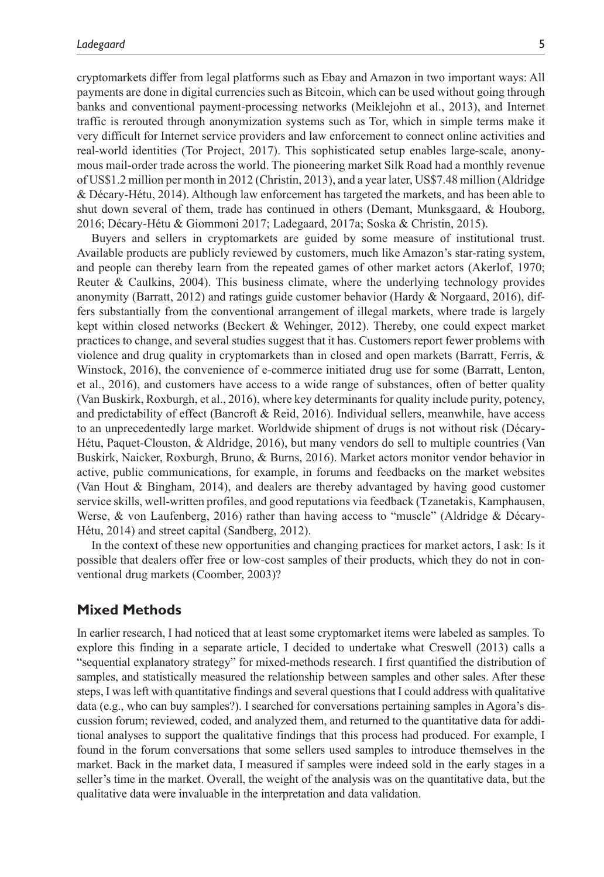cryptomarkets differ from legal platforms such as Ebay and Amazon in two important ways: All payments are done in digital currencies such as Bitcoin, which can be used without going through banks and conventional payment-processing networks (Meiklejohn et al., 2013), and Internet traffic is rerouted through anonymization systems such as Tor, which in simple terms make it very difficult for Internet service providers and law enforcement to connect online activities and real-world identities (Tor Project, 2017). This sophisticated setup enables large-scale, anonymous mail-order trade across the world. The pioneering market Silk Road had a monthly revenue of US\$1.2 million per month in 2012 (Christin, 2013), and a year later, US\$7.48 million (Aldridge & Décary-Hétu, 2014). Although law enforcement has targeted the markets, and has been able to shut down several of them, trade has continued in others (Demant, Munksgaard, & Houborg, 2016; Décary-Hétu & Giommoni 2017; Ladegaard, 2017a; Soska & Christin, 2015).

Buyers and sellers in cryptomarkets are guided by some measure of institutional trust. Available products are publicly reviewed by customers, much like Amazon's star-rating system, and people can thereby learn from the repeated games of other market actors (Akerlof, 1970; Reuter & Caulkins, 2004). This business climate, where the underlying technology provides anonymity (Barratt, 2012) and ratings guide customer behavior (Hardy & Norgaard, 2016), differs substantially from the conventional arrangement of illegal markets, where trade is largely kept within closed networks (Beckert & Wehinger, 2012). Thereby, one could expect market practices to change, and several studies suggest that it has. Customers report fewer problems with violence and drug quality in cryptomarkets than in closed and open markets (Barratt, Ferris,  $\&$ Winstock, 2016), the convenience of e-commerce initiated drug use for some (Barratt, Lenton, et al., 2016), and customers have access to a wide range of substances, often of better quality (Van Buskirk, Roxburgh, et al., 2016), where key determinants for quality include purity, potency, and predictability of effect (Bancroft & Reid, 2016). Individual sellers, meanwhile, have access to an unprecedentedly large market. Worldwide shipment of drugs is not without risk (Décary-Hétu, Paquet-Clouston, & Aldridge, 2016), but many vendors do sell to multiple countries (Van Buskirk, Naicker, Roxburgh, Bruno, & Burns, 2016). Market actors monitor vendor behavior in active, public communications, for example, in forums and feedbacks on the market websites (Van Hout & Bingham, 2014), and dealers are thereby advantaged by having good customer service skills, well-written profiles, and good reputations via feedback (Tzanetakis, Kamphausen, Werse, & von Laufenberg, 2016) rather than having access to "muscle" (Aldridge & Décary-Hétu, 2014) and street capital (Sandberg, 2012).

In the context of these new opportunities and changing practices for market actors, I ask: Is it possible that dealers offer free or low-cost samples of their products, which they do not in conventional drug markets (Coomber, 2003)?

### **Mixed Methods**

In earlier research, I had noticed that at least some cryptomarket items were labeled as samples. To explore this finding in a separate article, I decided to undertake what Creswell (2013) calls a "sequential explanatory strategy" for mixed-methods research. I first quantified the distribution of samples, and statistically measured the relationship between samples and other sales. After these steps, I was left with quantitative findings and several questions that I could address with qualitative data (e.g., who can buy samples?). I searched for conversations pertaining samples in Agora's discussion forum; reviewed, coded, and analyzed them, and returned to the quantitative data for additional analyses to support the qualitative findings that this process had produced. For example, I found in the forum conversations that some sellers used samples to introduce themselves in the market. Back in the market data, I measured if samples were indeed sold in the early stages in a seller's time in the market. Overall, the weight of the analysis was on the quantitative data, but the qualitative data were invaluable in the interpretation and data validation.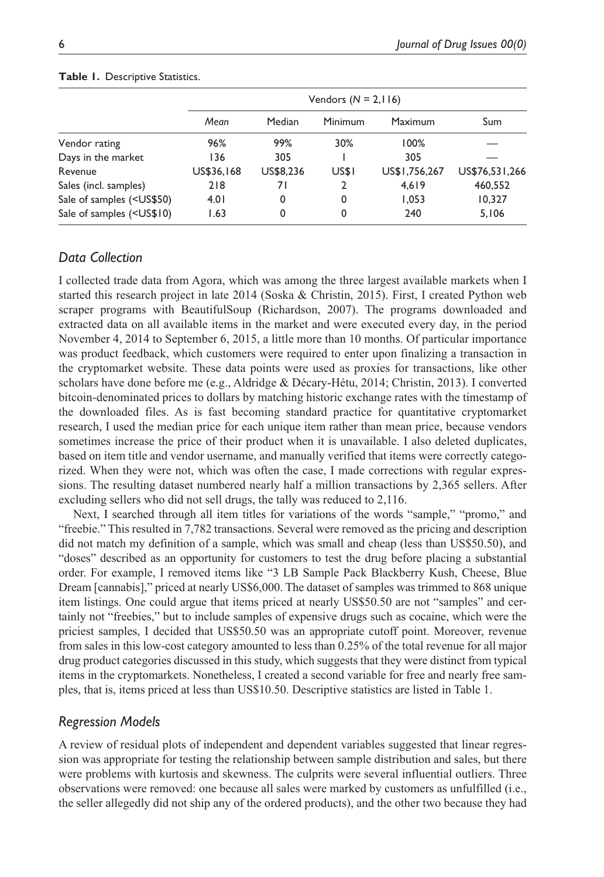|                                                                                                             |            |           | Vendors $(N = 2, 116)$ |               |                |  |  |
|-------------------------------------------------------------------------------------------------------------|------------|-----------|------------------------|---------------|----------------|--|--|
|                                                                                                             | Mean       | Median    | Minimum                | Maximum       | Sum            |  |  |
| Vendor rating                                                                                               | 96%        | 99%       | 30%                    | 100%          |                |  |  |
| Days in the market                                                                                          | 136        | 305       |                        | 305           |                |  |  |
| Revenue                                                                                                     | US\$36,168 | US\$8,236 | US\$1                  | US\$1,756,267 | US\$76,531,266 |  |  |
| Sales (incl. samples)                                                                                       | 218        | 71        | 2                      | 4,619         | 460,552        |  |  |
| Sale of samples ( <us\$50)< td=""><td>4.01</td><td>0</td><td>0</td><td>1.053</td><td>10,327</td></us\$50)<> | 4.01       | 0         | 0                      | 1.053         | 10,327         |  |  |
| Sale of samples ( <us\$10)< td=""><td>1.63</td><td>0</td><td>0</td><td>240</td><td>5,106</td></us\$10)<>    | 1.63       | 0         | 0                      | 240           | 5,106          |  |  |

#### **Table 1.** Descriptive Statistics.

#### *Data Collection*

I collected trade data from Agora, which was among the three largest available markets when I started this research project in late 2014 (Soska & Christin, 2015). First, I created Python web scraper programs with BeautifulSoup (Richardson, 2007). The programs downloaded and extracted data on all available items in the market and were executed every day, in the period November 4, 2014 to September 6, 2015, a little more than 10 months. Of particular importance was product feedback, which customers were required to enter upon finalizing a transaction in the cryptomarket website. These data points were used as proxies for transactions, like other scholars have done before me (e.g., Aldridge & Décary-Hétu, 2014; Christin, 2013). I converted bitcoin-denominated prices to dollars by matching historic exchange rates with the timestamp of the downloaded files. As is fast becoming standard practice for quantitative cryptomarket research, I used the median price for each unique item rather than mean price, because vendors sometimes increase the price of their product when it is unavailable. I also deleted duplicates, based on item title and vendor username, and manually verified that items were correctly categorized. When they were not, which was often the case, I made corrections with regular expressions. The resulting dataset numbered nearly half a million transactions by 2,365 sellers. After excluding sellers who did not sell drugs, the tally was reduced to 2,116.

Next, I searched through all item titles for variations of the words "sample," "promo," and "freebie." This resulted in 7,782 transactions. Several were removed as the pricing and description did not match my definition of a sample, which was small and cheap (less than US\$50.50), and "doses" described as an opportunity for customers to test the drug before placing a substantial order. For example, I removed items like "3 LB Sample Pack Blackberry Kush, Cheese, Blue Dream [cannabis]," priced at nearly US\$6,000. The dataset of samples was trimmed to 868 unique item listings. One could argue that items priced at nearly US\$50.50 are not "samples" and certainly not "freebies," but to include samples of expensive drugs such as cocaine, which were the priciest samples, I decided that US\$50.50 was an appropriate cutoff point. Moreover, revenue from sales in this low-cost category amounted to less than 0.25% of the total revenue for all major drug product categories discussed in this study, which suggests that they were distinct from typical items in the cryptomarkets. Nonetheless, I created a second variable for free and nearly free samples, that is, items priced at less than US\$10.50. Descriptive statistics are listed in Table 1.

#### *Regression Models*

A review of residual plots of independent and dependent variables suggested that linear regression was appropriate for testing the relationship between sample distribution and sales, but there were problems with kurtosis and skewness. The culprits were several influential outliers. Three observations were removed: one because all sales were marked by customers as unfulfilled (i.e., the seller allegedly did not ship any of the ordered products), and the other two because they had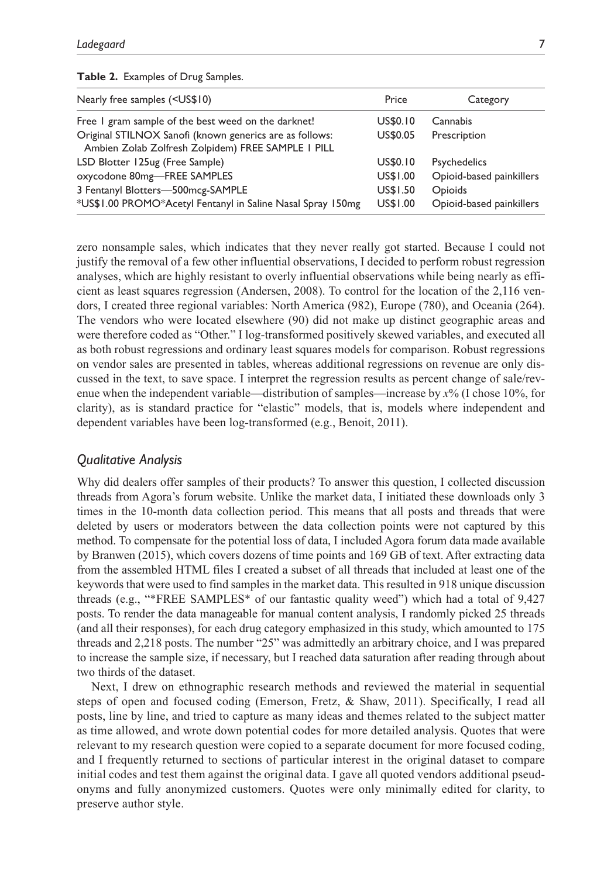**Table 2.** Examples of Drug Samples.

| Nearly free samples ( <us\$10)< th=""><th>Price</th><th>Category</th></us\$10)<>                              | Price    | Category                 |
|---------------------------------------------------------------------------------------------------------------|----------|--------------------------|
| Free I gram sample of the best weed on the darknet!                                                           | US\$0.10 | Cannabis                 |
| Original STILNOX Sanofi (known generics are as follows:<br>Ambien Zolab Zolfresh Zolpidem) FREE SAMPLE I PILL | US\$0.05 | Prescription             |
| LSD Blotter 125ug (Free Sample)                                                                               | US\$0.10 | Psychedelics             |
| oxycodone 80mg-FREE SAMPLES                                                                                   | US\$1.00 | Opioid-based painkillers |
| 3 Fentanyl Blotters-500mcg-SAMPLE                                                                             | US\$1.50 | Opioids                  |
| *US\$1.00 PROMO*Acetyl Fentanyl in Saline Nasal Spray 150mg                                                   | US\$1.00 | Opioid-based painkillers |

zero nonsample sales, which indicates that they never really got started. Because I could not justify the removal of a few other influential observations, I decided to perform robust regression analyses, which are highly resistant to overly influential observations while being nearly as efficient as least squares regression (Andersen, 2008). To control for the location of the 2,116 vendors, I created three regional variables: North America (982), Europe (780), and Oceania (264). The vendors who were located elsewhere (90) did not make up distinct geographic areas and were therefore coded as "Other." I log-transformed positively skewed variables, and executed all as both robust regressions and ordinary least squares models for comparison. Robust regressions on vendor sales are presented in tables, whereas additional regressions on revenue are only discussed in the text, to save space. I interpret the regression results as percent change of sale/revenue when the independent variable—distribution of samples—increase by *x*% (I chose 10%, for clarity), as is standard practice for "elastic" models, that is, models where independent and dependent variables have been log-transformed (e.g., Benoit, 2011).

#### *Qualitative Analysis*

Why did dealers offer samples of their products? To answer this question, I collected discussion threads from Agora's forum website. Unlike the market data, I initiated these downloads only 3 times in the 10-month data collection period. This means that all posts and threads that were deleted by users or moderators between the data collection points were not captured by this method. To compensate for the potential loss of data, I included Agora forum data made available by Branwen (2015), which covers dozens of time points and 169 GB of text. After extracting data from the assembled HTML files I created a subset of all threads that included at least one of the keywords that were used to find samples in the market data. This resulted in 918 unique discussion threads (e.g., "\*FREE SAMPLES\* of our fantastic quality weed") which had a total of 9,427 posts. To render the data manageable for manual content analysis, I randomly picked 25 threads (and all their responses), for each drug category emphasized in this study, which amounted to 175 threads and 2,218 posts. The number "25" was admittedly an arbitrary choice, and I was prepared to increase the sample size, if necessary, but I reached data saturation after reading through about two thirds of the dataset.

Next, I drew on ethnographic research methods and reviewed the material in sequential steps of open and focused coding (Emerson, Fretz, & Shaw, 2011). Specifically, I read all posts, line by line, and tried to capture as many ideas and themes related to the subject matter as time allowed, and wrote down potential codes for more detailed analysis. Quotes that were relevant to my research question were copied to a separate document for more focused coding, and I frequently returned to sections of particular interest in the original dataset to compare initial codes and test them against the original data. I gave all quoted vendors additional pseudonyms and fully anonymized customers. Quotes were only minimally edited for clarity, to preserve author style.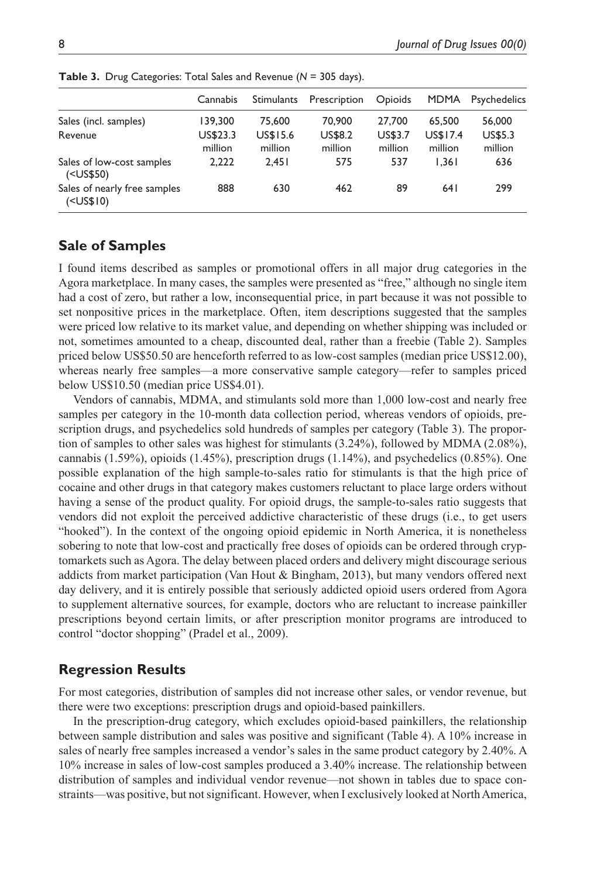|                                                        | Cannabis            | Stimulants          | Prescription              | Opioids                   |                     | MDMA Psychedelics  |
|--------------------------------------------------------|---------------------|---------------------|---------------------------|---------------------------|---------------------|--------------------|
| Sales (incl. samples)                                  | 139.300             | 75,600              | 70,900                    | 27,700                    | 65,500              | 56,000             |
| Revenue                                                | US\$23.3<br>million | US\$15.6<br>million | <b>US\$8.2</b><br>million | <b>US\$3.7</b><br>million | US\$17.4<br>million | US\$5.3<br>million |
| Sales of low-cost samples<br>$(<$ US\$50)              | 2.222               | 2.451               | 575                       | 537                       | 1.361               | 636                |
| Sales of nearly free samples<br>$( <$ US\$ $ 0\rangle$ | 888                 | 630                 | 462                       | 89                        | 64 I                | 299                |

**Table 3.** Drug Categories: Total Sales and Revenue (*N* = 305 days).

#### **Sale of Samples**

I found items described as samples or promotional offers in all major drug categories in the Agora marketplace. In many cases, the samples were presented as "free," although no single item had a cost of zero, but rather a low, inconsequential price, in part because it was not possible to set nonpositive prices in the marketplace. Often, item descriptions suggested that the samples were priced low relative to its market value, and depending on whether shipping was included or not, sometimes amounted to a cheap, discounted deal, rather than a freebie (Table 2). Samples priced below US\$50.50 are henceforth referred to as low-cost samples (median price US\$12.00), whereas nearly free samples—a more conservative sample category—refer to samples priced below US\$10.50 (median price US\$4.01).

Vendors of cannabis, MDMA, and stimulants sold more than 1,000 low-cost and nearly free samples per category in the 10-month data collection period, whereas vendors of opioids, prescription drugs, and psychedelics sold hundreds of samples per category (Table 3). The proportion of samples to other sales was highest for stimulants (3.24%), followed by MDMA (2.08%), cannabis  $(1.59\%)$ , opioids  $(1.45\%)$ , prescription drugs  $(1.14\%)$ , and psychedelics  $(0.85\%)$ . One possible explanation of the high sample-to-sales ratio for stimulants is that the high price of cocaine and other drugs in that category makes customers reluctant to place large orders without having a sense of the product quality. For opioid drugs, the sample-to-sales ratio suggests that vendors did not exploit the perceived addictive characteristic of these drugs (i.e., to get users "hooked"). In the context of the ongoing opioid epidemic in North America, it is nonetheless sobering to note that low-cost and practically free doses of opioids can be ordered through cryptomarkets such as Agora. The delay between placed orders and delivery might discourage serious addicts from market participation (Van Hout & Bingham, 2013), but many vendors offered next day delivery, and it is entirely possible that seriously addicted opioid users ordered from Agora to supplement alternative sources, for example, doctors who are reluctant to increase painkiller prescriptions beyond certain limits, or after prescription monitor programs are introduced to control "doctor shopping" (Pradel et al., 2009).

#### **Regression Results**

For most categories, distribution of samples did not increase other sales, or vendor revenue, but there were two exceptions: prescription drugs and opioid-based painkillers.

In the prescription-drug category, which excludes opioid-based painkillers, the relationship between sample distribution and sales was positive and significant (Table 4). A 10% increase in sales of nearly free samples increased a vendor's sales in the same product category by 2.40%. A 10% increase in sales of low-cost samples produced a 3.40% increase. The relationship between distribution of samples and individual vendor revenue—not shown in tables due to space constraints—was positive, but not significant. However, when I exclusively looked at North America,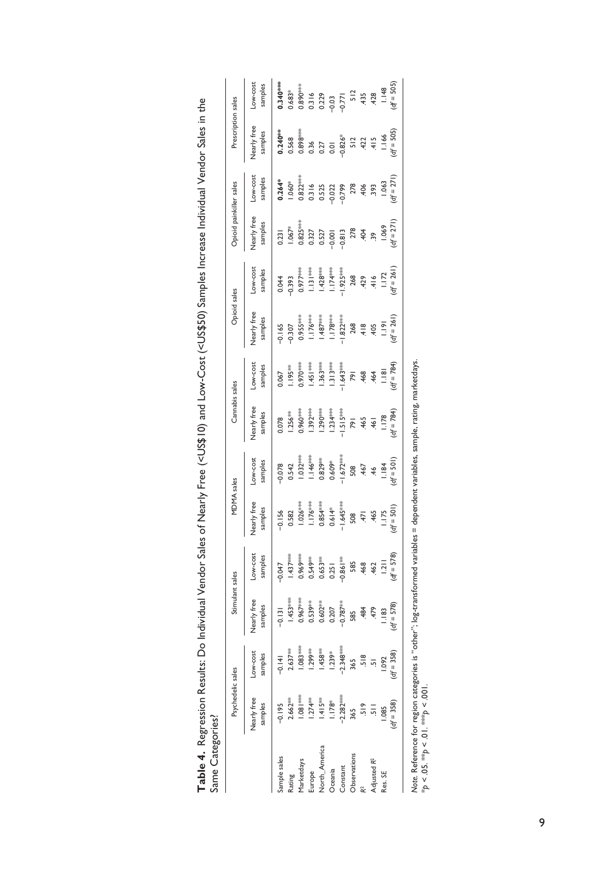|                        | Psychedelic sales                                    |                                                                                                                            | Stimulant sales             |                     | MDMA sales             |                    | Cannabis sales         |                    | Opioid sales           |                     | Opioid painkiller sales |                     | Prescription sales     |                     |
|------------------------|------------------------------------------------------|----------------------------------------------------------------------------------------------------------------------------|-----------------------------|---------------------|------------------------|--------------------|------------------------|--------------------|------------------------|---------------------|-------------------------|---------------------|------------------------|---------------------|
|                        | Nearly free<br>samples                               | Low-cost<br>samples                                                                                                        | -ly free<br>samples<br>Near | Low-cost<br>samples | Nearly free<br>samples | .ow-cos<br>samples | Nearly free<br>samples | -OW-COS<br>samples | Nearly free<br>samples | -OW-COST<br>samples | Nearly free<br>samples  | Low-cost<br>samples | Nearly free<br>samples | -OW-COST<br>samples |
| imple sales            | $-0.195$                                             |                                                                                                                            | $-0.131$                    | $-0.047$            | $-0.156$               | $-0.078$           | 0.078                  | 0.067              | $-0.165$               | 0.044               | 0.231                   | $0.264*$            | $0.240***$             | $0.340***$          |
| ating                  |                                                      | $-0.141$<br>$2.637***$<br>$-1.293***$<br>$-1.293***$<br>$-1.453***$<br>$-1.2348***$<br>$-1.2348***$<br>$-1.345$<br>$-1.51$ | $-453***$                   | $1.437***$          | 0.582                  | 0.542              | $1.256***$             | <b>I.195**</b>     | $-0.307$               | $-0.393$            | $1.067*$                | $1.060*$            | 0.568                  | $0.683*$            |
| arketdays              |                                                      |                                                                                                                            | $0.967***$                  | $0.969***$          | $1.026***$             | $1.032***$         | $0.960***$             | $0.970***$         | $0.955***$             | $0.977***$          | $0.825***$              | $0.822***$          | $0.898***$             | $0.890***$          |
| urope                  | $2.662***$<br>$1.081***$<br>$1.274***$<br>$1.415***$ |                                                                                                                            | $0.539***$                  | $0.549***$          | $1.176***$             | $1.146***$         | $1.392***$             | $1.451***$         | $1.176***$             | $1.131***$          | 0.327                   | 0.316               | 0.36                   | 0.316               |
| orth_America           |                                                      |                                                                                                                            | $3.602***$                  | $0.653***$          | $0.854***$             | $0.829***$         | $1.290***$             | $1.363***$         | $1.487***$             | $1.428***$          | 0.527                   | 0.525               | 0.27                   | 0.229               |
| Oceania                | $1.178*$                                             |                                                                                                                            | 0.207                       | 0.251               | 0.614*                 | $0.609*$           | $1.234***$             | $1.313***$         | $1.178***$             | $1.174***$          | $-0.001$                | $-0.022$            | 0.01                   | $-0.03$             |
| Constant               | $-2.282***$                                          |                                                                                                                            | $-0.787***$                 | $-0.861***$         | $-1.645***$            | $-1.672***$        | $-1.515***$            | $-1.643***$        | $1.822***$             | $-1.925***$         | $-0.813$                | $-0.799$            | $-0.826*$              | $-0.771$            |
| <b>Observations</b>    | 365                                                  |                                                                                                                            | 585                         | 585                 | 508                    | 508                | 791                    | 791                | 268                    | 268                 | 278                     | 278                 | 512                    | 512                 |
|                        | 519                                                  |                                                                                                                            | .484                        | .468                | $-471$                 | .467               | .465                   | .468               | $rac{8}{4}$            | 429                 | .404                    | .406                | 422                    | .435                |
| djusted R <sup>2</sup> |                                                      |                                                                                                                            | 479                         | .462                | .465                   | $\frac{46}{5}$     | $-461$                 | 464                | 405                    | $-416$              | 39                      | 393                 | 415                    | 428                 |
| les. SE                | 1.085                                                | 1.092                                                                                                                      | 183                         | 21                  | 1.175                  | 1.184              | 1.178                  | $\frac{1}{2}$      | $\frac{1}{2}$          | 1.172               | 1.069                   | 1.063               | 1.166                  | 1.148               |
|                        | $(df = 358)$                                         | $df = 358$                                                                                                                 | 578)<br>$df =$              | $(f = 578)$         | $df = 501$             | $df = 501$         | $df = 784$             | $df = 784$         | $df = 261$             | $df = 261$          | $(ff = 271)$            | $df = 271$          | $(df = 505)$           | $df = 505$          |

| )<br>3<br>3                                                     |  |
|-----------------------------------------------------------------|--|
| $\overline{\phantom{a}}$<br>ソープン・ニュー<br>l<br>$\frac{5}{2}$<br>1 |  |
| ֦֦֦֚֝֝֝֝֝֝֝֝֝֬֝֝֝֝֝֝֝<br>֧֝֝֝<br>֧֖֖֧֖֖֚֚֚֚֚֝֝֝֝֟֝֝֝֝           |  |
| l                                                               |  |
|                                                                 |  |
| S<br>J<br>J<br>Ś<br>I                                           |  |
| į                                                               |  |
|                                                                 |  |

Note. Reference for region categories is "other": log-transformed variables = dependent variables, sample, rating, marketdays.<br>\*p < .05. \*\*p < .01. \*\*\*p < .001. *Note.* Reference for region categories is "other"; log-transformed variables = dependent variables, sample, rating, marketdays. \**p* < .05. \*\**p* < .01. \*\*\**p* < .001.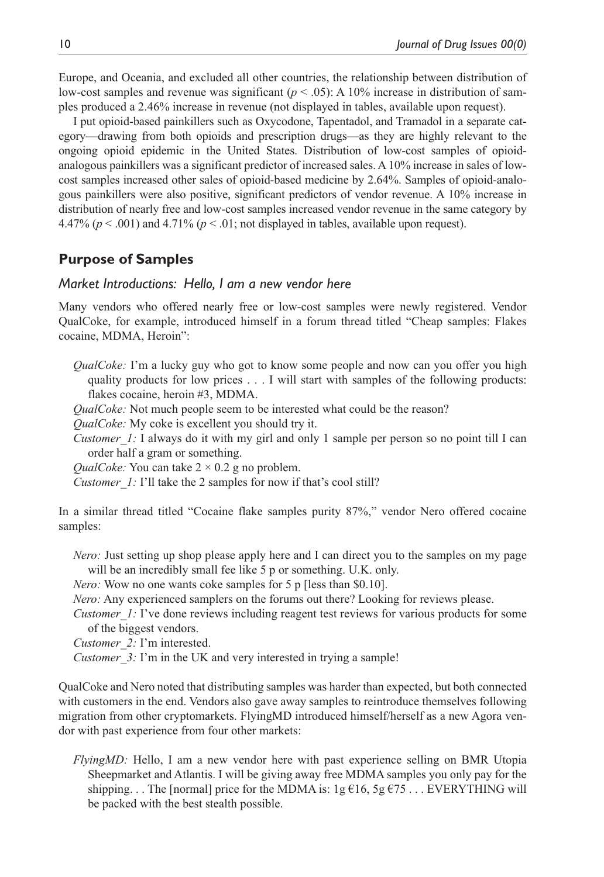Europe, and Oceania, and excluded all other countries, the relationship between distribution of low-cost samples and revenue was significant  $(p < .05)$ : A 10% increase in distribution of samples produced a 2.46% increase in revenue (not displayed in tables, available upon request).

I put opioid-based painkillers such as Oxycodone, Tapentadol, and Tramadol in a separate category—drawing from both opioids and prescription drugs—as they are highly relevant to the ongoing opioid epidemic in the United States. Distribution of low-cost samples of opioidanalogous painkillers was a significant predictor of increased sales. A 10% increase in sales of lowcost samples increased other sales of opioid-based medicine by 2.64%. Samples of opioid-analogous painkillers were also positive, significant predictors of vendor revenue. A 10% increase in distribution of nearly free and low-cost samples increased vendor revenue in the same category by 4.47% ( $p < .001$ ) and 4.71% ( $p < .01$ ; not displayed in tables, available upon request).

# **Purpose of Samples**

### *Market Introductions: Hello, I am a new vendor here*

Many vendors who offered nearly free or low-cost samples were newly registered. Vendor QualCoke, for example, introduced himself in a forum thread titled "Cheap samples: Flakes cocaine, MDMA, Heroin":

*QualCoke:* I'm a lucky guy who got to know some people and now can you offer you high quality products for low prices . . . I will start with samples of the following products: flakes cocaine, heroin #3, MDMA.

*QualCoke:* Not much people seem to be interested what could be the reason?

*QualCoke:* My coke is excellent you should try it.

*Customer\_1:* I always do it with my girl and only 1 sample per person so no point till I can order half a gram or something.

*QualCoke:* You can take  $2 \times 0.2$  g no problem.

*Customer\_1:* I'll take the 2 samples for now if that's cool still?

In a similar thread titled "Cocaine flake samples purity 87%," vendor Nero offered cocaine samples:

*Nero:* Just setting up shop please apply here and I can direct you to the samples on my page will be an incredibly small fee like 5 p or something. U.K. only.

*Nero:* Wow no one wants coke samples for 5 p [less than \$0.10].

*Nero:* Any experienced samplers on the forums out there? Looking for reviews please.

*Customer\_1:* I've done reviews including reagent test reviews for various products for some of the biggest vendors.

*Customer\_2:* I'm interested.

*Customer\_3:* I'm in the UK and very interested in trying a sample!

QualCoke and Nero noted that distributing samples was harder than expected, but both connected with customers in the end. Vendors also gave away samples to reintroduce themselves following migration from other cryptomarkets. FlyingMD introduced himself/herself as a new Agora vendor with past experience from four other markets:

*FlyingMD:* Hello, I am a new vendor here with past experience selling on BMR Utopia Sheepmarket and Atlantis. I will be giving away free MDMA samples you only pay for the shipping. . . The [normal] price for the MDMA is:  $1g \in 16$ ,  $5g \in 75$ . . . EVERYTHING will be packed with the best stealth possible.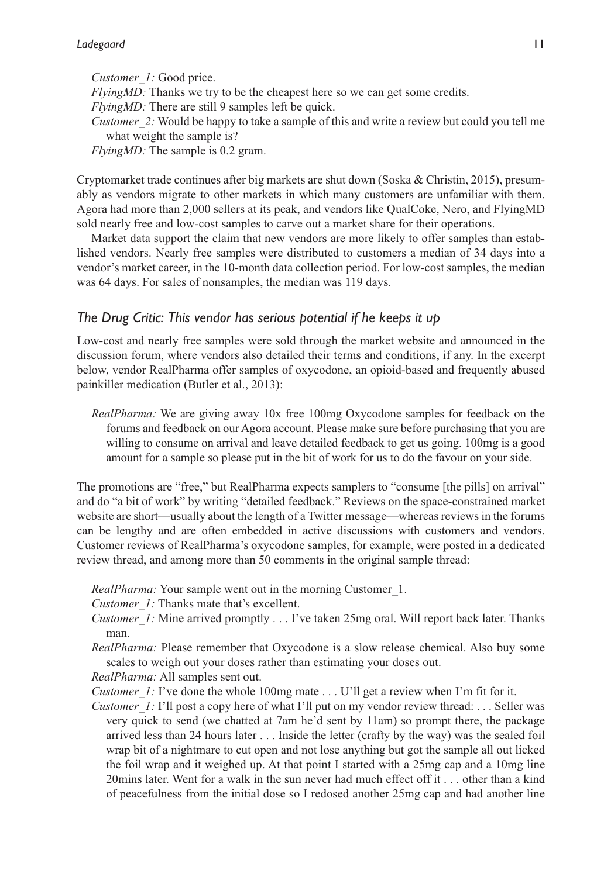*Customer\_1:* Good price. *FlyingMD:* Thanks we try to be the cheapest here so we can get some credits. *FlyingMD:* There are still 9 samples left be quick. *Customer* 2: Would be happy to take a sample of this and write a review but could you tell me what weight the sample is? *FlyingMD:* The sample is 0.2 gram.

Cryptomarket trade continues after big markets are shut down (Soska & Christin, 2015), presumably as vendors migrate to other markets in which many customers are unfamiliar with them. Agora had more than 2,000 sellers at its peak, and vendors like QualCoke, Nero, and FlyingMD sold nearly free and low-cost samples to carve out a market share for their operations.

Market data support the claim that new vendors are more likely to offer samples than established vendors. Nearly free samples were distributed to customers a median of 34 days into a vendor's market career, in the 10-month data collection period. For low-cost samples, the median was 64 days. For sales of nonsamples, the median was 119 days.

## *The Drug Critic: This vendor has serious potential if he keeps it up*

Low-cost and nearly free samples were sold through the market website and announced in the discussion forum, where vendors also detailed their terms and conditions, if any. In the excerpt below, vendor RealPharma offer samples of oxycodone, an opioid-based and frequently abused painkiller medication (Butler et al., 2013):

*RealPharma:* We are giving away 10x free 100mg Oxycodone samples for feedback on the forums and feedback on our Agora account. Please make sure before purchasing that you are willing to consume on arrival and leave detailed feedback to get us going. 100mg is a good amount for a sample so please put in the bit of work for us to do the favour on your side.

The promotions are "free," but RealPharma expects samplers to "consume [the pills] on arrival" and do "a bit of work" by writing "detailed feedback." Reviews on the space-constrained market website are short—usually about the length of a Twitter message—whereas reviews in the forums can be lengthy and are often embedded in active discussions with customers and vendors. Customer reviews of RealPharma's oxycodone samples, for example, were posted in a dedicated review thread, and among more than 50 comments in the original sample thread:

*RealPharma:* Your sample went out in the morning Customer\_1.

*Customer 1:* Thanks mate that's excellent.

- *Customer\_1:* Mine arrived promptly . . . I've taken 25mg oral. Will report back later. Thanks man.
- *RealPharma:* Please remember that Oxycodone is a slow release chemical. Also buy some scales to weigh out your doses rather than estimating your doses out.

*RealPharma:* All samples sent out.

*Customer 1:* I've done the whole 100mg mate . . . U'll get a review when I'm fit for it.

*Customer 1:* I'll post a copy here of what I'll put on my vendor review thread: . . . Seller was very quick to send (we chatted at 7am he'd sent by 11am) so prompt there, the package arrived less than 24 hours later . . . Inside the letter (crafty by the way) was the sealed foil wrap bit of a nightmare to cut open and not lose anything but got the sample all out licked the foil wrap and it weighed up. At that point I started with a 25mg cap and a 10mg line 20mins later. Went for a walk in the sun never had much effect off it . . . other than a kind of peacefulness from the initial dose so I redosed another 25mg cap and had another line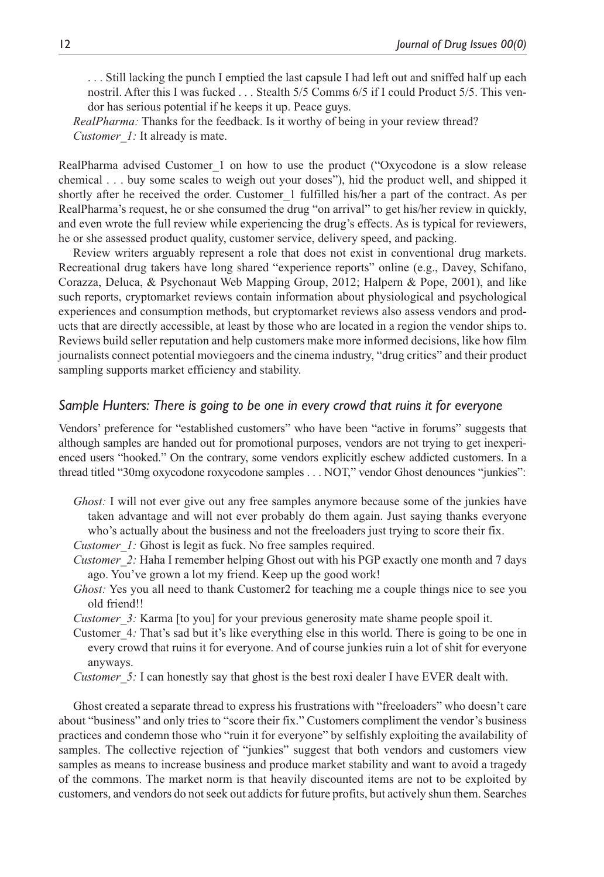. . . Still lacking the punch I emptied the last capsule I had left out and sniffed half up each nostril. After this I was fucked . . . Stealth 5/5 Comms 6/5 if I could Product 5/5. This vendor has serious potential if he keeps it up. Peace guys.

*RealPharma:* Thanks for the feedback. Is it worthy of being in your review thread? *Customer 1:* It already is mate.

RealPharma advised Customer\_1 on how to use the product ("Oxycodone is a slow release chemical . . . buy some scales to weigh out your doses"), hid the product well, and shipped it shortly after he received the order. Customer\_1 fulfilled his/her a part of the contract. As per RealPharma's request, he or she consumed the drug "on arrival" to get his/her review in quickly, and even wrote the full review while experiencing the drug's effects. As is typical for reviewers, he or she assessed product quality, customer service, delivery speed, and packing.

Review writers arguably represent a role that does not exist in conventional drug markets. Recreational drug takers have long shared "experience reports" online (e.g., Davey, Schifano, Corazza, Deluca, & Psychonaut Web Mapping Group, 2012; Halpern & Pope, 2001), and like such reports, cryptomarket reviews contain information about physiological and psychological experiences and consumption methods, but cryptomarket reviews also assess vendors and products that are directly accessible, at least by those who are located in a region the vendor ships to. Reviews build seller reputation and help customers make more informed decisions, like how film journalists connect potential moviegoers and the cinema industry, "drug critics" and their product sampling supports market efficiency and stability.

#### *Sample Hunters: There is going to be one in every crowd that ruins it for everyone*

Vendors' preference for "established customers" who have been "active in forums" suggests that although samples are handed out for promotional purposes, vendors are not trying to get inexperienced users "hooked." On the contrary, some vendors explicitly eschew addicted customers. In a thread titled "30mg oxycodone roxycodone samples . . . NOT," vendor Ghost denounces "junkies":

- *Ghost:* I will not ever give out any free samples anymore because some of the junkies have taken advantage and will not ever probably do them again. Just saying thanks everyone who's actually about the business and not the freeloaders just trying to score their fix.
- *Customer 1:* Ghost is legit as fuck. No free samples required.
- *Customer\_2:* Haha I remember helping Ghost out with his PGP exactly one month and 7 days ago. You've grown a lot my friend. Keep up the good work!
- *Ghost:* Yes you all need to thank Customer2 for teaching me a couple things nice to see you old friend!!
- *Customer* 3: Karma [to you] for your previous generosity mate shame people spoil it.
- Customer\_4*:* That's sad but it's like everything else in this world. There is going to be one in every crowd that ruins it for everyone. And of course junkies ruin a lot of shit for everyone anyways.
- *Customer\_5:* I can honestly say that ghost is the best roxi dealer I have EVER dealt with.

Ghost created a separate thread to express his frustrations with "freeloaders" who doesn't care about "business" and only tries to "score their fix." Customers compliment the vendor's business practices and condemn those who "ruin it for everyone" by selfishly exploiting the availability of samples. The collective rejection of "junkies" suggest that both vendors and customers view samples as means to increase business and produce market stability and want to avoid a tragedy of the commons. The market norm is that heavily discounted items are not to be exploited by customers, and vendors do not seek out addicts for future profits, but actively shun them. Searches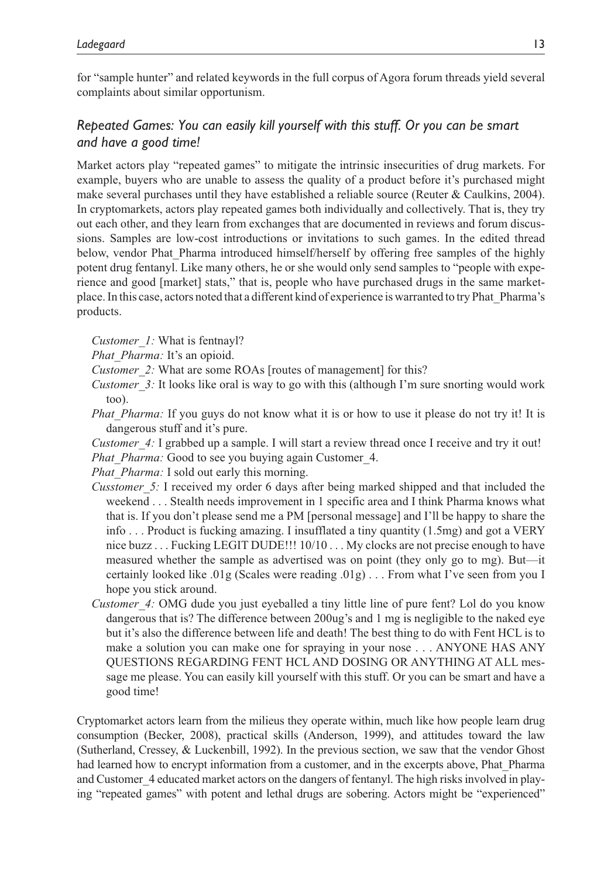for "sample hunter" and related keywords in the full corpus of Agora forum threads yield several complaints about similar opportunism.

# *Repeated Games: You can easily kill yourself with this stuff. Or you can be smart and have a good time!*

Market actors play "repeated games" to mitigate the intrinsic insecurities of drug markets. For example, buyers who are unable to assess the quality of a product before it's purchased might make several purchases until they have established a reliable source (Reuter & Caulkins, 2004). In cryptomarkets, actors play repeated games both individually and collectively. That is, they try out each other, and they learn from exchanges that are documented in reviews and forum discussions. Samples are low-cost introductions or invitations to such games. In the edited thread below, vendor Phat\_Pharma introduced himself/herself by offering free samples of the highly potent drug fentanyl. Like many others, he or she would only send samples to "people with experience and good [market] stats," that is, people who have purchased drugs in the same marketplace. In this case, actors noted that a different kind of experience is warranted to try Phat\_Pharma's products.

*Customer\_1:* What is fentnayl?

*Phat\_Pharma:* It's an opioid.

*Customer 2:* What are some ROAs [routes of management] for this?

*Customer* 3: It looks like oral is way to go with this (although I'm sure snorting would work too).

*Phat\_Pharma:* If you guys do not know what it is or how to use it please do not try it! It is dangerous stuff and it's pure.

*Customer\_4:* I grabbed up a sample. I will start a review thread once I receive and try it out! *Phat Pharma:* Good to see you buying again Customer 4.

*Phat Pharma:* I sold out early this morning.

- *Cusstomer* 5: I received my order 6 days after being marked shipped and that included the weekend . . . Stealth needs improvement in 1 specific area and I think Pharma knows what that is. If you don't please send me a PM [personal message] and I'll be happy to share the info . . . Product is fucking amazing. I insufflated a tiny quantity (1.5mg) and got a VERY nice buzz . . . Fucking LEGIT DUDE!!! 10/10 . . . My clocks are not precise enough to have measured whether the sample as advertised was on point (they only go to mg). But—it certainly looked like .01g (Scales were reading .01g) . . . From what I've seen from you I hope you stick around.
- *Customer* 4: OMG dude you just eyeballed a tiny little line of pure fent? Lol do you know dangerous that is? The difference between 200ug's and 1 mg is negligible to the naked eye but it's also the difference between life and death! The best thing to do with Fent HCL is to make a solution you can make one for spraying in your nose . . . ANYONE HAS ANY QUESTIONS REGARDING FENT HCL AND DOSING OR ANYTHING AT ALL message me please. You can easily kill yourself with this stuff. Or you can be smart and have a good time!

Cryptomarket actors learn from the milieus they operate within, much like how people learn drug consumption (Becker, 2008), practical skills (Anderson, 1999), and attitudes toward the law (Sutherland, Cressey, & Luckenbill, 1992). In the previous section, we saw that the vendor Ghost had learned how to encrypt information from a customer, and in the excerpts above, Phat Pharma and Customer 4 educated market actors on the dangers of fentanyl. The high risks involved in playing "repeated games" with potent and lethal drugs are sobering. Actors might be "experienced"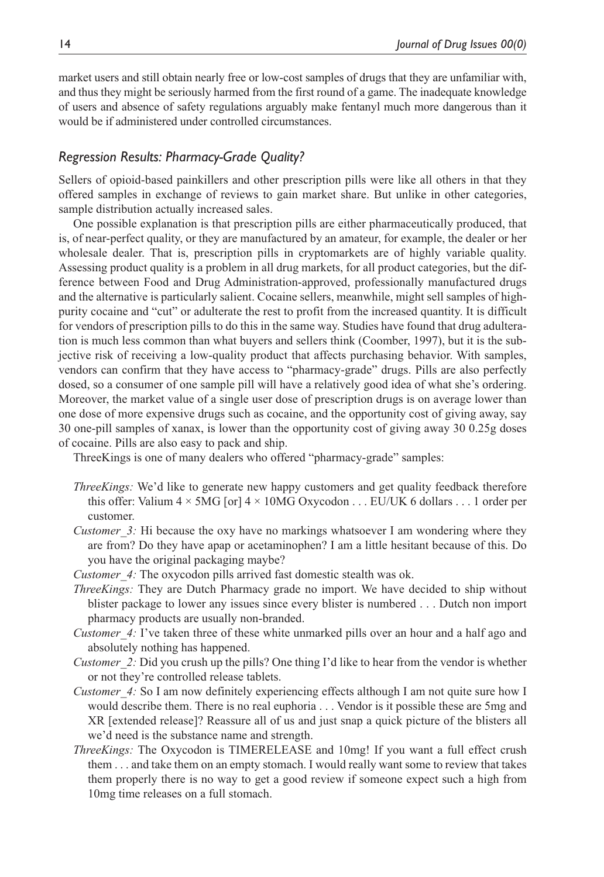market users and still obtain nearly free or low-cost samples of drugs that they are unfamiliar with, and thus they might be seriously harmed from the first round of a game. The inadequate knowledge of users and absence of safety regulations arguably make fentanyl much more dangerous than it would be if administered under controlled circumstances.

# *Regression Results: Pharmacy-Grade Quality?*

Sellers of opioid-based painkillers and other prescription pills were like all others in that they offered samples in exchange of reviews to gain market share. But unlike in other categories, sample distribution actually increased sales.

One possible explanation is that prescription pills are either pharmaceutically produced, that is, of near-perfect quality, or they are manufactured by an amateur, for example, the dealer or her wholesale dealer. That is, prescription pills in cryptomarkets are of highly variable quality. Assessing product quality is a problem in all drug markets, for all product categories, but the difference between Food and Drug Administration-approved, professionally manufactured drugs and the alternative is particularly salient. Cocaine sellers, meanwhile, might sell samples of highpurity cocaine and "cut" or adulterate the rest to profit from the increased quantity. It is difficult for vendors of prescription pills to do this in the same way. Studies have found that drug adulteration is much less common than what buyers and sellers think (Coomber, 1997), but it is the subjective risk of receiving a low-quality product that affects purchasing behavior. With samples, vendors can confirm that they have access to "pharmacy-grade" drugs. Pills are also perfectly dosed, so a consumer of one sample pill will have a relatively good idea of what she's ordering. Moreover, the market value of a single user dose of prescription drugs is on average lower than one dose of more expensive drugs such as cocaine, and the opportunity cost of giving away, say 30 one-pill samples of xanax, is lower than the opportunity cost of giving away 30 0.25g doses of cocaine. Pills are also easy to pack and ship.

ThreeKings is one of many dealers who offered "pharmacy-grade" samples:

- *ThreeKings:* We'd like to generate new happy customers and get quality feedback therefore this offer: Valium  $4 \times 5MG$  [or]  $4 \times 10MG$  Oxycodon . . . EU/UK 6 dollars . . . 1 order per customer.
- *Customer\_3:* Hi because the oxy have no markings whatsoever I am wondering where they are from? Do they have apap or acetaminophen? I am a little hesitant because of this. Do you have the original packaging maybe?
- *Customer\_4:* The oxycodon pills arrived fast domestic stealth was ok.
- *ThreeKings:* They are Dutch Pharmacy grade no import. We have decided to ship without blister package to lower any issues since every blister is numbered . . . Dutch non import pharmacy products are usually non-branded.
- *Customer\_4:* I've taken three of these white unmarked pills over an hour and a half ago and absolutely nothing has happened.
- *Customer\_2:* Did you crush up the pills? One thing I'd like to hear from the vendor is whether or not they're controlled release tablets.
- *Customer\_4:* So I am now definitely experiencing effects although I am not quite sure how I would describe them. There is no real euphoria . . . Vendor is it possible these are 5mg and XR [extended release]? Reassure all of us and just snap a quick picture of the blisters all we'd need is the substance name and strength.
- *ThreeKings:* The Oxycodon is TIMERELEASE and 10mg! If you want a full effect crush them . . . and take them on an empty stomach. I would really want some to review that takes them properly there is no way to get a good review if someone expect such a high from 10mg time releases on a full stomach.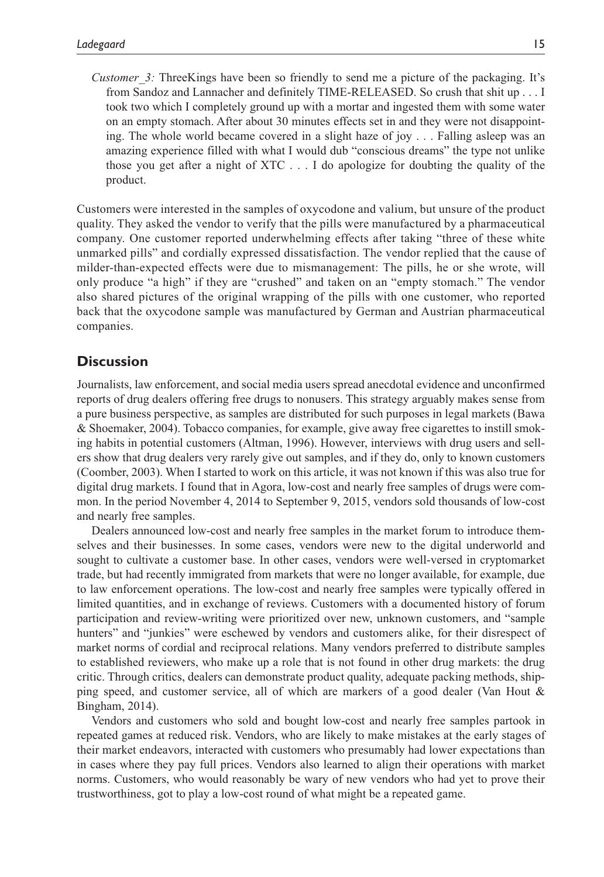*Customer* 3: ThreeKings have been so friendly to send me a picture of the packaging. It's from Sandoz and Lannacher and definitely TIME-RELEASED. So crush that shit up . . . I took two which I completely ground up with a mortar and ingested them with some water on an empty stomach. After about 30 minutes effects set in and they were not disappointing. The whole world became covered in a slight haze of joy . . . Falling asleep was an amazing experience filled with what I would dub "conscious dreams" the type not unlike those you get after a night of XTC . . . I do apologize for doubting the quality of the product.

Customers were interested in the samples of oxycodone and valium, but unsure of the product quality. They asked the vendor to verify that the pills were manufactured by a pharmaceutical company. One customer reported underwhelming effects after taking "three of these white unmarked pills" and cordially expressed dissatisfaction. The vendor replied that the cause of milder-than-expected effects were due to mismanagement: The pills, he or she wrote, will only produce "a high" if they are "crushed" and taken on an "empty stomach." The vendor also shared pictures of the original wrapping of the pills with one customer, who reported back that the oxycodone sample was manufactured by German and Austrian pharmaceutical companies.

## **Discussion**

Journalists, law enforcement, and social media users spread anecdotal evidence and unconfirmed reports of drug dealers offering free drugs to nonusers. This strategy arguably makes sense from a pure business perspective, as samples are distributed for such purposes in legal markets (Bawa & Shoemaker, 2004). Tobacco companies, for example, give away free cigarettes to instill smoking habits in potential customers (Altman, 1996). However, interviews with drug users and sellers show that drug dealers very rarely give out samples, and if they do, only to known customers (Coomber, 2003). When I started to work on this article, it was not known if this was also true for digital drug markets. I found that in Agora, low-cost and nearly free samples of drugs were common. In the period November 4, 2014 to September 9, 2015, vendors sold thousands of low-cost and nearly free samples.

Dealers announced low-cost and nearly free samples in the market forum to introduce themselves and their businesses. In some cases, vendors were new to the digital underworld and sought to cultivate a customer base. In other cases, vendors were well-versed in cryptomarket trade, but had recently immigrated from markets that were no longer available, for example, due to law enforcement operations. The low-cost and nearly free samples were typically offered in limited quantities, and in exchange of reviews. Customers with a documented history of forum participation and review-writing were prioritized over new, unknown customers, and "sample hunters" and "junkies" were eschewed by vendors and customers alike, for their disrespect of market norms of cordial and reciprocal relations. Many vendors preferred to distribute samples to established reviewers, who make up a role that is not found in other drug markets: the drug critic. Through critics, dealers can demonstrate product quality, adequate packing methods, shipping speed, and customer service, all of which are markers of a good dealer (Van Hout & Bingham, 2014).

Vendors and customers who sold and bought low-cost and nearly free samples partook in repeated games at reduced risk. Vendors, who are likely to make mistakes at the early stages of their market endeavors, interacted with customers who presumably had lower expectations than in cases where they pay full prices. Vendors also learned to align their operations with market norms. Customers, who would reasonably be wary of new vendors who had yet to prove their trustworthiness, got to play a low-cost round of what might be a repeated game.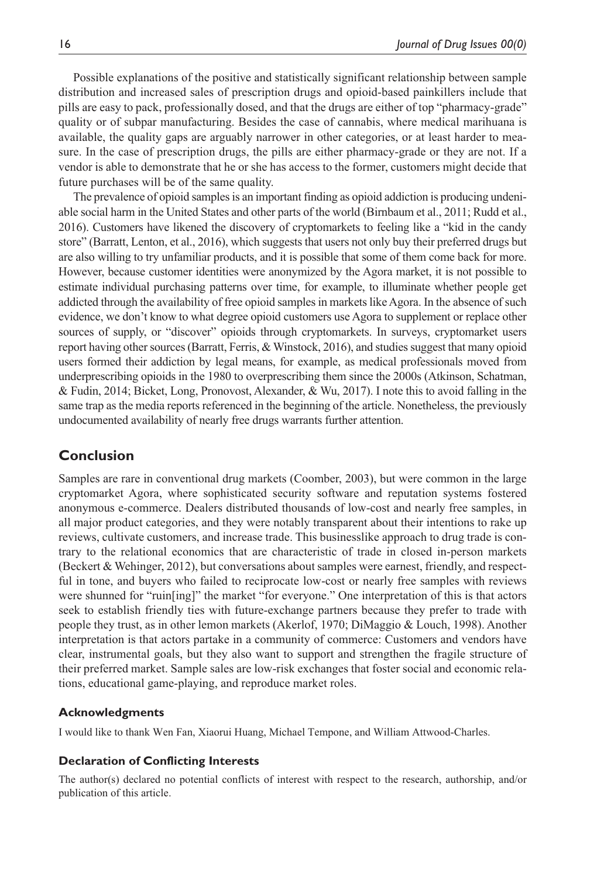Possible explanations of the positive and statistically significant relationship between sample distribution and increased sales of prescription drugs and opioid-based painkillers include that pills are easy to pack, professionally dosed, and that the drugs are either of top "pharmacy-grade" quality or of subpar manufacturing. Besides the case of cannabis, where medical marihuana is available, the quality gaps are arguably narrower in other categories, or at least harder to measure. In the case of prescription drugs, the pills are either pharmacy-grade or they are not. If a vendor is able to demonstrate that he or she has access to the former, customers might decide that future purchases will be of the same quality.

The prevalence of opioid samples is an important finding as opioid addiction is producing undeniable social harm in the United States and other parts of the world (Birnbaum et al., 2011; Rudd et al., 2016). Customers have likened the discovery of cryptomarkets to feeling like a "kid in the candy store" (Barratt, Lenton, et al., 2016), which suggests that users not only buy their preferred drugs but are also willing to try unfamiliar products, and it is possible that some of them come back for more. However, because customer identities were anonymized by the Agora market, it is not possible to estimate individual purchasing patterns over time, for example, to illuminate whether people get addicted through the availability of free opioid samples in markets like Agora. In the absence of such evidence, we don't know to what degree opioid customers use Agora to supplement or replace other sources of supply, or "discover" opioids through cryptomarkets. In surveys, cryptomarket users report having other sources (Barratt, Ferris, & Winstock, 2016), and studies suggest that many opioid users formed their addiction by legal means, for example, as medical professionals moved from underprescribing opioids in the 1980 to overprescribing them since the 2000s (Atkinson, Schatman, & Fudin, 2014; Bicket, Long, Pronovost, Alexander, & Wu, 2017). I note this to avoid falling in the same trap as the media reports referenced in the beginning of the article. Nonetheless, the previously undocumented availability of nearly free drugs warrants further attention.

# **Conclusion**

Samples are rare in conventional drug markets (Coomber, 2003), but were common in the large cryptomarket Agora, where sophisticated security software and reputation systems fostered anonymous e-commerce. Dealers distributed thousands of low-cost and nearly free samples, in all major product categories, and they were notably transparent about their intentions to rake up reviews, cultivate customers, and increase trade. This businesslike approach to drug trade is contrary to the relational economics that are characteristic of trade in closed in-person markets (Beckert & Wehinger, 2012), but conversations about samples were earnest, friendly, and respectful in tone, and buyers who failed to reciprocate low-cost or nearly free samples with reviews were shunned for "ruin[ing]" the market "for everyone." One interpretation of this is that actors seek to establish friendly ties with future-exchange partners because they prefer to trade with people they trust, as in other lemon markets (Akerlof, 1970; DiMaggio & Louch, 1998). Another interpretation is that actors partake in a community of commerce: Customers and vendors have clear, instrumental goals, but they also want to support and strengthen the fragile structure of their preferred market. Sample sales are low-risk exchanges that foster social and economic relations, educational game-playing, and reproduce market roles.

#### **Acknowledgments**

I would like to thank Wen Fan, Xiaorui Huang, Michael Tempone, and William Attwood-Charles.

#### **Declaration of Conflicting Interests**

The author(s) declared no potential conflicts of interest with respect to the research, authorship, and/or publication of this article.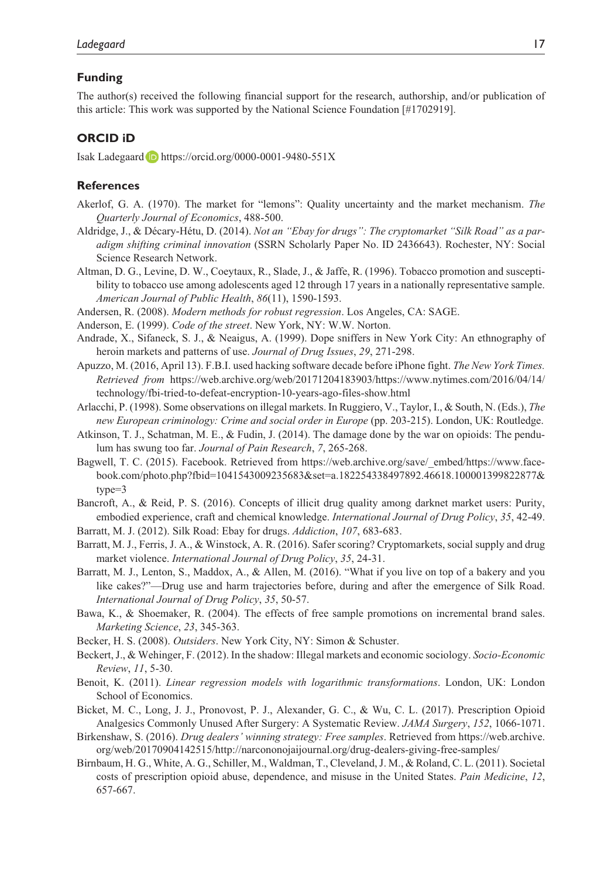#### **Funding**

The author(s) received the following financial support for the research, authorship, and/or publication of this article: This work was supported by the National Science Foundation [#1702919].

#### **ORCID iD**

Isak Ladegaard **b**<https://orcid.org/0000-0001-9480-551X>

#### **References**

- Akerlof, G. A. (1970). The market for "lemons": Quality uncertainty and the market mechanism. *The Quarterly Journal of Economics*, 488-500.
- Aldridge, J., & Décary-Hétu, D. (2014). *Not an "Ebay for drugs": The cryptomarket "Silk Road" as a paradigm shifting criminal innovation* (SSRN Scholarly Paper No. ID 2436643). Rochester, NY: Social Science Research Network.
- Altman, D. G., Levine, D. W., Coeytaux, R., Slade, J., & Jaffe, R. (1996). Tobacco promotion and susceptibility to tobacco use among adolescents aged 12 through 17 years in a nationally representative sample. *American Journal of Public Health*, *86*(11), 1590-1593.

Andersen, R. (2008). *Modern methods for robust regression*. Los Angeles, CA: SAGE.

Anderson, E. (1999). *Code of the street*. New York, NY: W.W. Norton.

- Andrade, X., Sifaneck, S. J., & Neaigus, A. (1999). Dope sniffers in New York City: An ethnography of heroin markets and patterns of use. *Journal of Drug Issues*, *29*, 271-298.
- Apuzzo, M. (2016, April 13). F.B.I. used hacking software decade before iPhone fight. *The New York Times. Retrieved from* [https://web.archive.org/web/20171204183903/https://www.nytimes.com/2016/04/14/](https://web.archive.org/web/20171204183903/https://www.nytimes.com/2016/04/14/technology/fbi-tried-to-defeat-encryption-10-years-ago-files-show.html) [technology/fbi-tried-to-defeat-encryption-10-years-ago-files-show.html](https://web.archive.org/web/20171204183903/https://www.nytimes.com/2016/04/14/technology/fbi-tried-to-defeat-encryption-10-years-ago-files-show.html)
- Arlacchi, P. (1998). Some observations on illegal markets. In Ruggiero, V., Taylor, I., & South, N. (Eds.), *The new European criminology: Crime and social order in Europe* (pp. 203-215). London, UK: Routledge.
- Atkinson, T. J., Schatman, M. E., & Fudin, J. (2014). The damage done by the war on opioids: The pendulum has swung too far. *Journal of Pain Research*, *7*, 265-268.
- Bagwell, T. C. (2015). Facebook. Retrieved from [https://web.archive.org/save/\\_embed/https://www.face](https://web.archive.org/save/_embed/https://www.facebook.com/photo.php?fbid=1041543009235683&set=a.182254338497892.46618.100001399822877&type=3)[book.com/photo.php?fbid=1041543009235683&set=a.182254338497892.46618.100001399822877&](https://web.archive.org/save/_embed/https://www.facebook.com/photo.php?fbid=1041543009235683&set=a.182254338497892.46618.100001399822877&type=3) [type=3](https://web.archive.org/save/_embed/https://www.facebook.com/photo.php?fbid=1041543009235683&set=a.182254338497892.46618.100001399822877&type=3)
- Bancroft, A., & Reid, P. S. (2016). Concepts of illicit drug quality among darknet market users: Purity, embodied experience, craft and chemical knowledge. *International Journal of Drug Policy*, *35*, 42-49.
- Barratt, M. J. (2012). Silk Road: Ebay for drugs. *Addiction*, *107*, 683-683.
- Barratt, M. J., Ferris, J. A., & Winstock, A. R. (2016). Safer scoring? Cryptomarkets, social supply and drug market violence. *International Journal of Drug Policy*, *35*, 24-31.
- Barratt, M. J., Lenton, S., Maddox, A., & Allen, M. (2016). "What if you live on top of a bakery and you like cakes?"—Drug use and harm trajectories before, during and after the emergence of Silk Road. *International Journal of Drug Policy*, *35*, 50-57.
- Bawa, K., & Shoemaker, R. (2004). The effects of free sample promotions on incremental brand sales. *Marketing Science*, *23*, 345-363.
- Becker, H. S. (2008). *Outsiders*. New York City, NY: Simon & Schuster.
- Beckert, J., & Wehinger, F. (2012). In the shadow: Illegal markets and economic sociology. *Socio-Economic Review*, *11*, 5-30.
- Benoit, K. (2011). *Linear regression models with logarithmic transformations*. London, UK: London School of Economics.
- Bicket, M. C., Long, J. J., Pronovost, P. J., Alexander, G. C., & Wu, C. L. (2017). Prescription Opioid Analgesics Commonly Unused After Surgery: A Systematic Review. *JAMA Surgery*, *152*, 1066-1071.
- Birkenshaw, S. (2016). *Drug dealers' winning strategy: Free samples*. Retrieved from [https://web.archive.](https://web.archive.org/web/20170904142515/http://narcononojaijournal.org/drug-dealers-giving-free-samples/) [org/web/20170904142515/http://narcononojaijournal.org/drug-dealers-giving-free-samples/](https://web.archive.org/web/20170904142515/http://narcononojaijournal.org/drug-dealers-giving-free-samples/)
- Birnbaum, H. G., White, A. G., Schiller, M., Waldman, T., Cleveland, J. M., & Roland, C. L. (2011). Societal costs of prescription opioid abuse, dependence, and misuse in the United States. *Pain Medicine*, *12*, 657-667.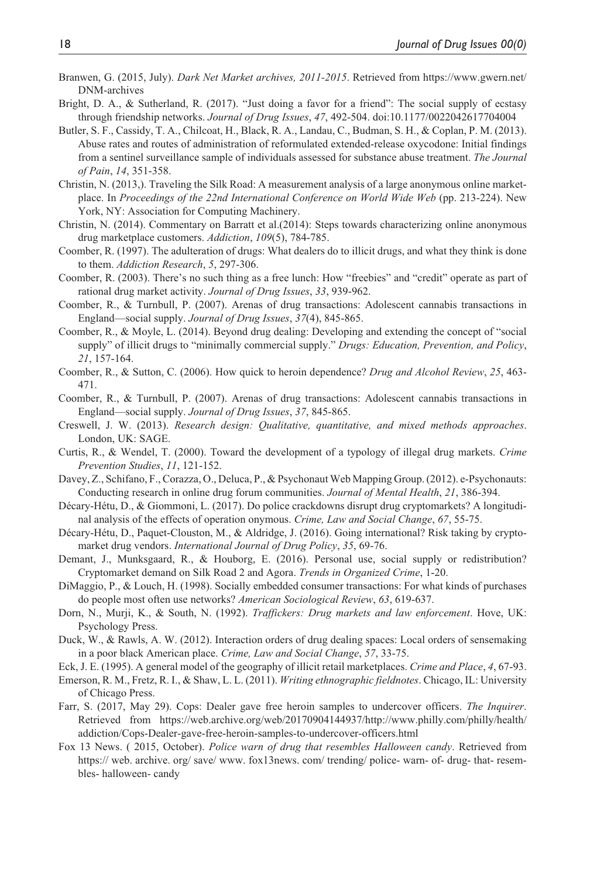- Branwen, G. (2015, July). *Dark Net Market archives, 2011-2015*. Retrieved from [https://www.gwern.net/](https://www.gwern.net/DNM-archives) [DNM-archives](https://www.gwern.net/DNM-archives)
- Bright, D. A., & Sutherland, R. (2017). "Just doing a favor for a friend": The social supply of ecstasy through friendship networks. *Journal of Drug Issues*, *47*, 492-504. doi:10.1177/0022042617704004
- Butler, S. F., Cassidy, T. A., Chilcoat, H., Black, R. A., Landau, C., Budman, S. H., & Coplan, P. M. (2013). Abuse rates and routes of administration of reformulated extended-release oxycodone: Initial findings from a sentinel surveillance sample of individuals assessed for substance abuse treatment. *The Journal of Pain*, *14*, 351-358.
- Christin, N. (2013,). Traveling the Silk Road: A measurement analysis of a large anonymous online marketplace. In *Proceedings of the 22nd International Conference on World Wide Web* (pp. 213-224). New York, NY: Association for Computing Machinery.
- Christin, N. (2014). Commentary on Barratt et al.(2014): Steps towards characterizing online anonymous drug marketplace customers. *Addiction*, *109*(5), 784-785.
- Coomber, R. (1997). The adulteration of drugs: What dealers do to illicit drugs, and what they think is done to them. *Addiction Research*, *5*, 297-306.
- Coomber, R. (2003). There's no such thing as a free lunch: How "freebies" and "credit" operate as part of rational drug market activity. *Journal of Drug Issues*, *33*, 939-962.
- Coomber, R., & Turnbull, P. (2007). Arenas of drug transactions: Adolescent cannabis transactions in England—social supply. *Journal of Drug Issues*, *37*(4), 845-865.
- Coomber, R., & Moyle, L. (2014). Beyond drug dealing: Developing and extending the concept of "social supply" of illicit drugs to "minimally commercial supply." *Drugs: Education, Prevention, and Policy*, *21*, 157-164.
- Coomber, R., & Sutton, C. (2006). How quick to heroin dependence? *Drug and Alcohol Review*, *25*, 463- 471.
- Coomber, R., & Turnbull, P. (2007). Arenas of drug transactions: Adolescent cannabis transactions in England—social supply. *Journal of Drug Issues*, *37*, 845-865.
- Creswell, J. W. (2013). *Research design: Qualitative, quantitative, and mixed methods approaches*. London, UK: SAGE.
- Curtis, R., & Wendel, T. (2000). Toward the development of a typology of illegal drug markets. *Crime Prevention Studies*, *11*, 121-152.
- Davey, Z., Schifano, F., Corazza, O., Deluca, P., & Psychonaut Web Mapping Group. (2012). e-Psychonauts: Conducting research in online drug forum communities. *Journal of Mental Health*, *21*, 386-394.
- Décary-Hétu, D., & Giommoni, L. (2017). Do police crackdowns disrupt drug cryptomarkets? A longitudinal analysis of the effects of operation onymous. *Crime, Law and Social Change*, *67*, 55-75.
- Décary-Hétu, D., Paquet-Clouston, M., & Aldridge, J. (2016). Going international? Risk taking by cryptomarket drug vendors. *International Journal of Drug Policy*, *35*, 69-76.
- Demant, J., Munksgaard, R., & Houborg, E. (2016). Personal use, social supply or redistribution? Cryptomarket demand on Silk Road 2 and Agora. *Trends in Organized Crime*, 1-20.
- DiMaggio, P., & Louch, H. (1998). Socially embedded consumer transactions: For what kinds of purchases do people most often use networks? *American Sociological Review*, *63*, 619-637.
- Dorn, N., Murji, K., & South, N. (1992). *Traffickers: Drug markets and law enforcement*. Hove, UK: Psychology Press.
- Duck, W., & Rawls, A. W. (2012). Interaction orders of drug dealing spaces: Local orders of sensemaking in a poor black American place. *Crime, Law and Social Change*, *57*, 33-75.
- Eck, J. E. (1995). A general model of the geography of illicit retail marketplaces. *Crime and Place*, *4*, 67-93.
- Emerson, R. M., Fretz, R. I., & Shaw, L. L. (2011). *Writing ethnographic fieldnotes*. Chicago, IL: University of Chicago Press.
- Farr, S. (2017, May 29). Cops: Dealer gave free heroin samples to undercover officers. *The Inquirer*. Retrieved from [https://web.archive.org/web/20170904144937/http://www.philly.com/philly/health/](https://web.archive.org/web/20170904144937/http://www.philly.com/philly/health/addiction/Cops-Dealer-gave-free-heroin-samples-to-undercover-officers.html) [addiction/Cops-Dealer-gave-free-heroin-samples-to-undercover-officers.html](https://web.archive.org/web/20170904144937/http://www.philly.com/philly/health/addiction/Cops-Dealer-gave-free-heroin-samples-to-undercover-officers.html)
- Fox 13 News. ( 2015, October). *Police warn of drug that resembles Halloween candy*. Retrieved from [https:// web. archive. org/ save/ www. fox13news. com/ trending/ police- warn- of- drug- that- resem](https:// web. archive. org/ save/ www. fox13news. com/ trending/ police- warn- of- drug- that- resembles- halloween- candy)[bles- halloween- candy](https:// web. archive. org/ save/ www. fox13news. com/ trending/ police- warn- of- drug- that- resembles- halloween- candy)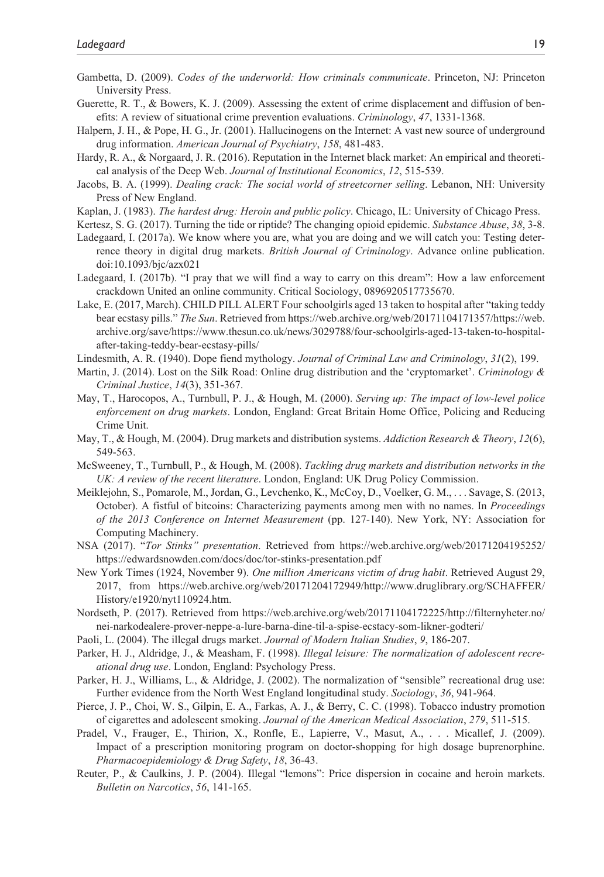- Gambetta, D. (2009). *Codes of the underworld: How criminals communicate*. Princeton, NJ: Princeton University Press.
- Guerette, R. T., & Bowers, K. J. (2009). Assessing the extent of crime displacement and diffusion of benefits: A review of situational crime prevention evaluations. *Criminology*, *47*, 1331-1368.
- Halpern, J. H., & Pope, H. G., Jr. (2001). Hallucinogens on the Internet: A vast new source of underground drug information. *American Journal of Psychiatry*, *158*, 481-483.
- Hardy, R. A., & Norgaard, J. R. (2016). Reputation in the Internet black market: An empirical and theoretical analysis of the Deep Web. *Journal of Institutional Economics*, *12*, 515-539.
- Jacobs, B. A. (1999). *Dealing crack: The social world of streetcorner selling*. Lebanon, NH: University Press of New England.
- Kaplan, J. (1983). *The hardest drug: Heroin and public policy*. Chicago, IL: University of Chicago Press.
- Kertesz, S. G. (2017). Turning the tide or riptide? The changing opioid epidemic. *Substance Abuse*, *38*, 3-8.
- Ladegaard, I. (2017a). We know where you are, what you are doing and we will catch you: Testing deterrence theory in digital drug markets. *British Journal of Criminology*. Advance online publication. doi:10.1093/bjc/azx021
- Ladegaard, I. (2017b). "I pray that we will find a way to carry on this dream": How a law enforcement crackdown United an online community. Critical Sociology, 0896920517735670.
- Lake, E. (2017, March). CHILD PILL ALERT Four schoolgirls aged 13 taken to hospital after "taking teddy bear ecstasy pills." *The Sun*. Retrieved from [https://web.archive.org/web/20171104171357/https://web.](https://web.archive.org/web/20171104171357/https://web.archive.org/save/https://www.thesun.co.uk/news/3029788/four-schoolgirls-aged-13-taken-to-hospital-after-taking-teddy-bear-ecstasy-pills/) [archive.org/save/https://www.thesun.co.uk/news/3029788/four-schoolgirls-aged-13-taken-to-hospital](https://web.archive.org/web/20171104171357/https://web.archive.org/save/https://www.thesun.co.uk/news/3029788/four-schoolgirls-aged-13-taken-to-hospital-after-taking-teddy-bear-ecstasy-pills/)[after-taking-teddy-bear-ecstasy-pills/](https://web.archive.org/web/20171104171357/https://web.archive.org/save/https://www.thesun.co.uk/news/3029788/four-schoolgirls-aged-13-taken-to-hospital-after-taking-teddy-bear-ecstasy-pills/)
- Lindesmith, A. R. (1940). Dope fiend mythology. *Journal of Criminal Law and Criminology*, *31*(2), 199.
- Martin, J. (2014). Lost on the Silk Road: Online drug distribution and the 'cryptomarket'. *Criminology & Criminal Justice*, *14*(3), 351-367.
- May, T., Harocopos, A., Turnbull, P. J., & Hough, M. (2000). *Serving up: The impact of low-level police enforcement on drug markets*. London, England: Great Britain Home Office, Policing and Reducing Crime Unit.
- May, T., & Hough, M. (2004). Drug markets and distribution systems. *Addiction Research & Theory*, *12*(6), 549-563.
- McSweeney, T., Turnbull, P., & Hough, M. (2008). *Tackling drug markets and distribution networks in the UK: A review of the recent literature*. London, England: UK Drug Policy Commission.
- Meiklejohn, S., Pomarole, M., Jordan, G., Levchenko, K., McCoy, D., Voelker, G. M., . . . Savage, S. (2013, October). A fistful of bitcoins: Characterizing payments among men with no names. In *Proceedings of the 2013 Conference on Internet Measurement* (pp. 127-140). New York, NY: Association for Computing Machinery.
- NSA (2017). "*Tor Stinks" presentation*. Retrieved from [https://web.archive.org/web/20171204195252/](https://web.archive.org/web/20171204195252/https://edwardsnowden.com/docs/doc/tor-stinks-presentation.pdf) [https://edwardsnowden.com/docs/doc/tor-stinks-presentation.pdf](https://web.archive.org/web/20171204195252/https://edwardsnowden.com/docs/doc/tor-stinks-presentation.pdf)
- New York Times (1924, November 9). *One million Americans victim of drug habit*. Retrieved August 29, 2017, from [https://web.archive.org/web/20171204172949/http://www.druglibrary.org/SCHAFFER/](https://web.archive.org/web/20171204172949/http://www.druglibrary.org/SCHAFFER/History/e1920/nyt110924.htm) [History/e1920/nyt110924.htm.](https://web.archive.org/web/20171204172949/http://www.druglibrary.org/SCHAFFER/History/e1920/nyt110924.htm)
- Nordseth, P. (2017). Retrieved from [https://web.archive.org/web/20171104172225/http://filternyheter.no/](https://web.archive.org/web/20171104172225/http://filternyheter.no/nei-narkodealere-prover-neppe-a-lure-barna-dine-til-a-spise-ecstacy-som-likner-godteri/) [nei-narkodealere-prover-neppe-a-lure-barna-dine-til-a-spise-ecstacy-som-likner-godteri/](https://web.archive.org/web/20171104172225/http://filternyheter.no/nei-narkodealere-prover-neppe-a-lure-barna-dine-til-a-spise-ecstacy-som-likner-godteri/)
- Paoli, L. (2004). The illegal drugs market. *Journal of Modern Italian Studies*, *9*, 186-207.
- Parker, H. J., Aldridge, J., & Measham, F. (1998). *Illegal leisure: The normalization of adolescent recreational drug use*. London, England: Psychology Press.
- Parker, H. J., Williams, L., & Aldridge, J. (2002). The normalization of "sensible" recreational drug use: Further evidence from the North West England longitudinal study. *Sociology*, *36*, 941-964.
- Pierce, J. P., Choi, W. S., Gilpin, E. A., Farkas, A. J., & Berry, C. C. (1998). Tobacco industry promotion of cigarettes and adolescent smoking. *Journal of the American Medical Association*, *279*, 511-515.
- Pradel, V., Frauger, E., Thirion, X., Ronfle, E., Lapierre, V., Masut, A., . . . Micallef, J. (2009). Impact of a prescription monitoring program on doctor-shopping for high dosage buprenorphine. *Pharmacoepidemiology & Drug Safety*, *18*, 36-43.
- Reuter, P., & Caulkins, J. P. (2004). Illegal "lemons": Price dispersion in cocaine and heroin markets. *Bulletin on Narcotics*, *56*, 141-165.